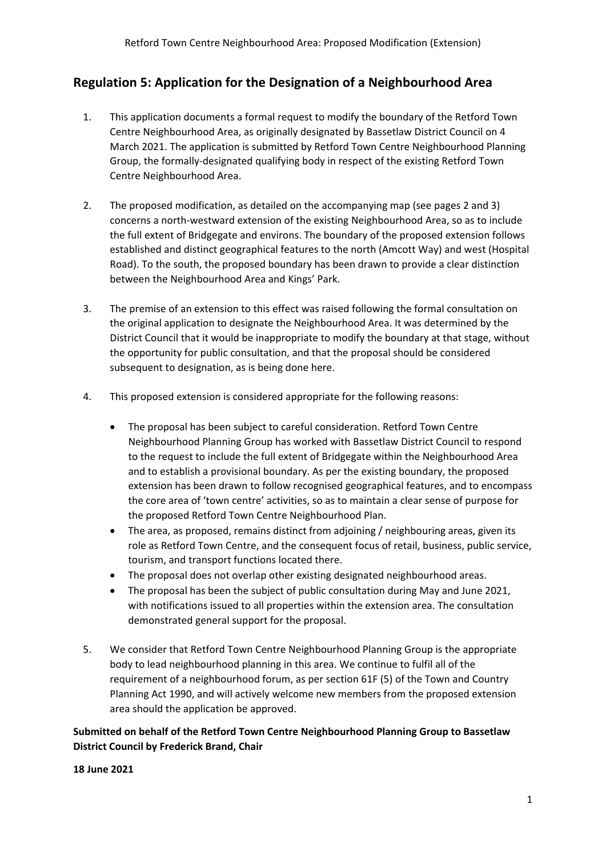## **Regulation 5: Application for the Designation of a Neighbourhood Area**

- 1. This application documents a formal request to modify the boundary of the Retford Town Centre Neighbourhood Area, as originally designated by Bassetlaw District Council on 4 March 2021. The application is submitted by Retford Town Centre Neighbourhood Planning Group, the formally-designated qualifying body in respect of the existing Retford Town Centre Neighbourhood Area.
- 2. The proposed modification, as detailed on the accompanying map (see pages 2 and 3) concerns a north-westward extension of the existing Neighbourhood Area, so as to include the full extent of Bridgegate and environs. The boundary of the proposed extension follows established and distinct geographical features to the north (Amcott Way) and west (Hospital Road). To the south, the proposed boundary has been drawn to provide a clear distinction between the Neighbourhood Area and Kings' Park.
- 3. The premise of an extension to this effect was raised following the formal consultation on the original application to designate the Neighbourhood Area. It was determined by the District Council that it would be inappropriate to modify the boundary at that stage, without the opportunity for public consultation, and that the proposal should be considered subsequent to designation, as is being done here.
- 4. This proposed extension is considered appropriate for the following reasons:
	- The proposal has been subject to careful consideration. Retford Town Centre Neighbourhood Planning Group has worked with Bassetlaw District Council to respond to the request to include the full extent of Bridgegate within the Neighbourhood Area and to establish a provisional boundary. As per the existing boundary, the proposed extension has been drawn to follow recognised geographical features, and to encompass the core area of 'town centre' activities, so as to maintain a clear sense of purpose for the proposed Retford Town Centre Neighbourhood Plan.
	- The area, as proposed, remains distinct from adjoining / neighbouring areas, given its role as Retford Town Centre, and the consequent focus of retail, business, public service, tourism, and transport functions located there.
	- The proposal does not overlap other existing designated neighbourhood areas.
	- The proposal has been the subject of public consultation during May and June 2021, with notifications issued to all properties within the extension area. The consultation demonstrated general support for the proposal.
- 5. We consider that Retford Town Centre Neighbourhood Planning Group is the appropriate body to lead neighbourhood planning in this area. We continue to fulfil all of the requirement of a neighbourhood forum, as per section 61F (5) of the Town and Country Planning Act 1990, and will actively welcome new members from the proposed extension area should the application be approved.

**Submitted on behalf of the Retford Town Centre Neighbourhood Planning Group to Bassetlaw District Council by Frederick Brand, Chair**

## **18 June 2021**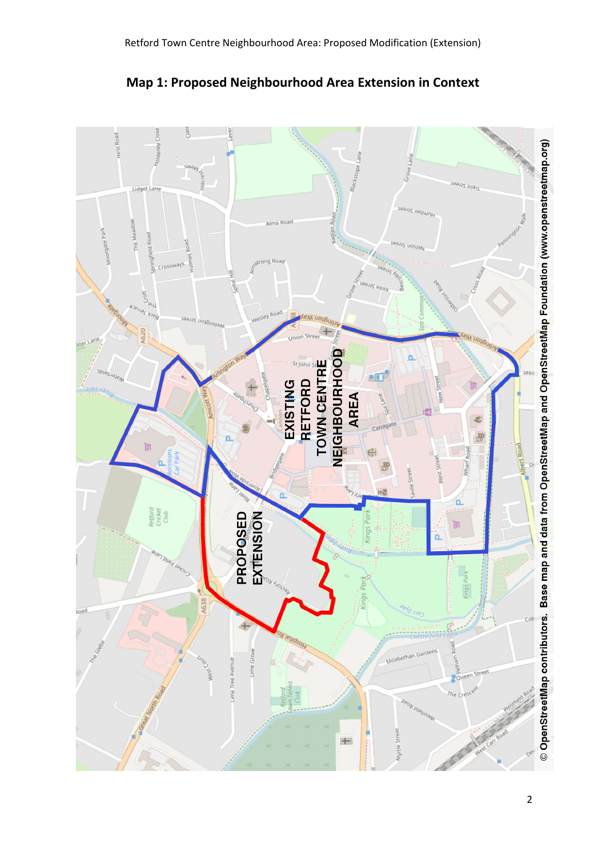

**Map 1: Proposed Neighbourhood Area Extension in Context**